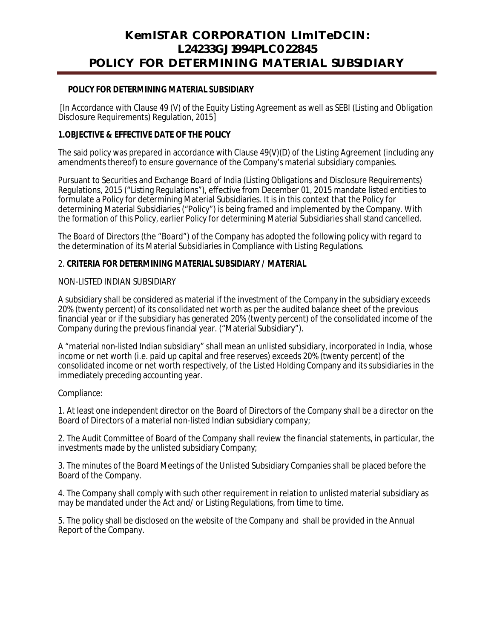# **KemISTAR CORPORATION LImITeDCIN: L24233GJ1994PLC022845 POLICY FOR DETERMINING MATERIAL SUBSIDIARY**

### **POLICY FOR DETERMINING MATERIAL SUBSIDIARY**

[In Accordance with Clause 49 (V) of the Equity Listing Agreement as well as SEBI (Listing and Obligation Disclosure Requirements) Regulation, 2015]

## **1.OBJECTIVE & EFFECTIVE DATE OF THE POLICY**

The said policy was prepared in accordance with Clause 49(V)(D) of the Listing Agreement (including any amendments thereof) to ensure governance of the Company's material subsidiary companies.

Pursuant to Securities and Exchange Board of India (Listing Obligations and Disclosure Requirements) Regulations, 2015 ("Listing Regulations"), effective from December 01, 2015 mandate listed entities to formulate a Policy for determining Material Subsidiaries. It is in this context that the Policy for determining Material Subsidiaries ("Policy") is being framed and implemented by the Company. With the formation of this Policy, earlier Policy for determining Material Subsidiaries shall stand cancelled.

The Board of Directors (the "Board") of the Company has adopted the following policy with regard to the determination of its Material Subsidiaries in Compliance with Listing Regulations.

## 2. **CRITERIA FOR DETERMINING MATERIAL SUBSIDIARY / MATERIAL**

### NON-LISTED INDIAN SUBSIDIARY

A subsidiary shall be considered as material if the investment of the Company in the subsidiary exceeds 20% (twenty percent) of its consolidated net worth as per the audited balance sheet of the previous financial year or if the subsidiary has generated 20% (twenty percent) of the consolidated income of the Company during the previous financial year. ("Material Subsidiary").

A "material non-listed Indian subsidiary" shall mean an unlisted subsidiary, incorporated in India, whose income or net worth (i.e. paid up capital and free reserves) exceeds 20% (twenty percent) of the consolidated income or net worth respectively, of the Listed Holding Company and its subsidiaries in the immediately preceding accounting year.

Compliance:

1. At least one independent director on the Board of Directors of the Company shall be a director on the Board of Directors of a material non-listed Indian subsidiary company;

2. The Audit Committee of Board of the Company shall review the financial statements, in particular, the investments made by the unlisted subsidiary Company;

3. The minutes of the Board Meetings of the Unlisted Subsidiary Companies shall be placed before the Board of the Company.

4. The Company shall comply with such other requirement in relation to unlisted material subsidiary as may be mandated under the Act and/ or Listing Regulations, from time to time.

5. The policy shall be disclosed on the website of the Company and shall be provided in the Annual Report of the Company.